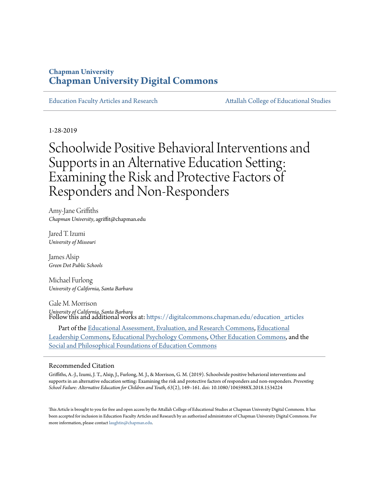# **Chapman University [Chapman University Digital Commons](https://digitalcommons.chapman.edu?utm_source=digitalcommons.chapman.edu%2Feducation_articles%2F233&utm_medium=PDF&utm_campaign=PDFCoverPages)**

[Education Faculty Articles and Research](https://digitalcommons.chapman.edu/education_articles?utm_source=digitalcommons.chapman.edu%2Feducation_articles%2F233&utm_medium=PDF&utm_campaign=PDFCoverPages) [Attallah College of Educational Studies](https://digitalcommons.chapman.edu/ces?utm_source=digitalcommons.chapman.edu%2Feducation_articles%2F233&utm_medium=PDF&utm_campaign=PDFCoverPages)

1-28-2019

Schoolwide Positive Behavioral Interventions and Supports in an Alternative Education Setting: Examining the Risk and Protective Factors of Responders and Non-Responders

Amy-Jane Griffiths *Chapman University*, agriffit@chapman.edu

Jared T. Izumi *University of Missouri*

James Alsip *Green Dot Public Schools*

Michael Furlong *University of California, Santa Barbara*

Gale M. Morrison *University of California, Santa Barbara* Follow this and additional works at: [https://digitalcommons.chapman.edu/education\\_articles](https://digitalcommons.chapman.edu/education_articles?utm_source=digitalcommons.chapman.edu%2Feducation_articles%2F233&utm_medium=PDF&utm_campaign=PDFCoverPages)

Part of the [Educational Assessment, Evaluation, and Research Commons,](http://network.bepress.com/hgg/discipline/796?utm_source=digitalcommons.chapman.edu%2Feducation_articles%2F233&utm_medium=PDF&utm_campaign=PDFCoverPages) [Educational](http://network.bepress.com/hgg/discipline/1230?utm_source=digitalcommons.chapman.edu%2Feducation_articles%2F233&utm_medium=PDF&utm_campaign=PDFCoverPages) [Leadership Commons](http://network.bepress.com/hgg/discipline/1230?utm_source=digitalcommons.chapman.edu%2Feducation_articles%2F233&utm_medium=PDF&utm_campaign=PDFCoverPages), [Educational Psychology Commons,](http://network.bepress.com/hgg/discipline/798?utm_source=digitalcommons.chapman.edu%2Feducation_articles%2F233&utm_medium=PDF&utm_campaign=PDFCoverPages) [Other Education Commons](http://network.bepress.com/hgg/discipline/811?utm_source=digitalcommons.chapman.edu%2Feducation_articles%2F233&utm_medium=PDF&utm_campaign=PDFCoverPages), and the [Social and Philosophical Foundations of Education Commons](http://network.bepress.com/hgg/discipline/799?utm_source=digitalcommons.chapman.edu%2Feducation_articles%2F233&utm_medium=PDF&utm_campaign=PDFCoverPages)

#### Recommended Citation

Griffiths, A.-J., Izumi, J. T., Alsip, J., Furlong, M. J., & Morrison, G. M. (2019). Schoolwide positive behavioral interventions and supports in an alternative education setting: Examining the risk and protective factors of responders and non-responders. *Preventing School Failure: Alternative Education for Children and Youth, 63*(2), 149–161. doi: 10.1080/1045988X.2018.1534224

This Article is brought to you for free and open access by the Attallah College of Educational Studies at Chapman University Digital Commons. It has been accepted for inclusion in Education Faculty Articles and Research by an authorized administrator of Chapman University Digital Commons. For more information, please contact [laughtin@chapman.edu](mailto:laughtin@chapman.edu).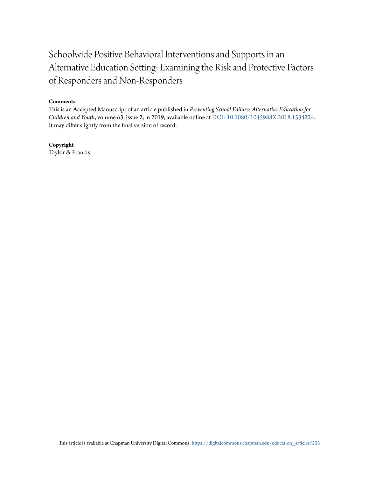# Schoolwide Positive Behavioral Interventions and Supports in an Alternative Education Setting: Examining the Risk and Protective Factors of Responders and Non-Responders

#### **Comments**

This is an Accepted Manuscript of an article published in *Preventing School Failure: Alternative Education for Children and Youth*, volume 63, issue 2, in 2019, available online at [DOI: 10.1080/1045988X.2018.1534224](https://doi.org/10.1080/1045988X.2018.1534224). It may differ slightly from the final version of record.

# **Copyright**

Taylor & Francis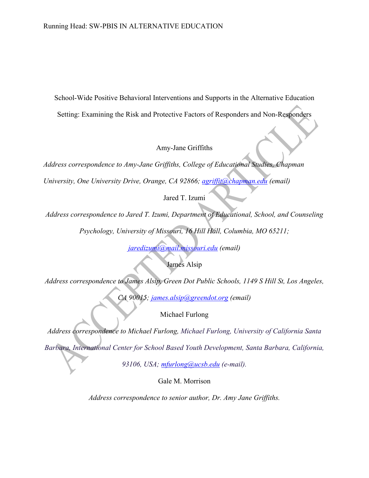School-Wide Positive Behavioral Interventions and Supports in the Alternative Education Setting: Examining the Risk and Protective Factors of Responders and Non-Responders

Amy-Jane Griffiths

*Address correspondence to Amy-Jane Griffiths, College of Educational Studies, Chapman University, One University Drive, Orange, CA 92866; agriffit@chapman.edu (email)*

Jared T. Izumi

*Address correspondence to Jared T. Izumi, Department of Educational, School, and Counseling Psychology, University of Missouri, 16 Hill Hall, Columbia, MO 65211;* 

*jaredizumi@mail.missouri.edu (email)*

James Alsip

*Address correspondence to James Alsip, Green Dot Public Schools, 1149 S Hill St, Los Angeles,* 

*CA 90015; james.alsip@greendot.org (email)*

Michael Furlong

*Address correspondence to Michael Furlong, Michael Furlong, University of California Santa Barbara, International Center for School Based Youth Development, Santa Barbara, California,* 

*93106, USA; mfurlong@ucsb.edu (e-mail).*

Gale M. Morrison

*Address correspondence to senior author, Dr. Amy Jane Griffiths.*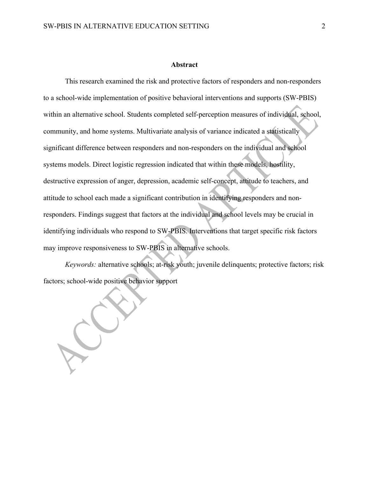#### **Abstract**

This research examined the risk and protective factors of responders and non-responders to a school-wide implementation of positive behavioral interventions and supports (SW-PBIS) within an alternative school. Students completed self-perception measures of individual, school, community, and home systems. Multivariate analysis of variance indicated a statistically significant difference between responders and non-responders on the individual and school systems models. Direct logistic regression indicated that within these models, hostility, destructive expression of anger, depression, academic self-concept, attitude to teachers, and attitude to school each made a significant contribution in identifying responders and nonresponders. Findings suggest that factors at the individual and school levels may be crucial in identifying individuals who respond to SW-PBIS. Interventions that target specific risk factors may improve responsiveness to SW-PBIS in alternative schools.

*Keywords:* alternative schools; at-risk youth; juvenile delinquents; protective factors; risk factors; school-wide positive behavior support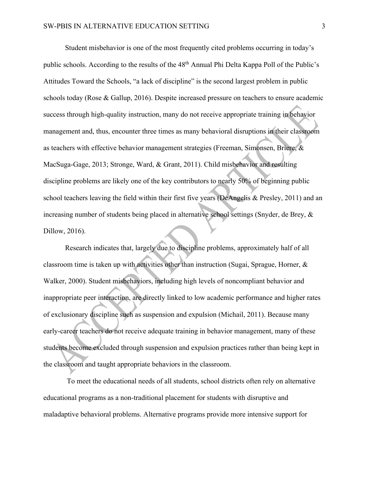Student misbehavior is one of the most frequently cited problems occurring in today's public schools. According to the results of the 48th Annual Phi Delta Kappa Poll of the Public's Attitudes Toward the Schools, "a lack of discipline" is the second largest problem in public schools today (Rose & Gallup, 2016). Despite increased pressure on teachers to ensure academic success through high-quality instruction, many do not receive appropriate training in behavior management and, thus, encounter three times as many behavioral disruptions in their classroom as teachers with effective behavior management strategies (Freeman, Simonsen, Briere, & MacSuga-Gage, 2013; Stronge, Ward, & Grant, 2011). Child misbehavior and resulting discipline problems are likely one of the key contributors to nearly 50% of beginning public school teachers leaving the field within their first five years (DeAngelis & Presley, 2011) and an increasing number of students being placed in alternative school settings (Snyder, de Brey, & Dillow, 2016).

Research indicates that, largely due to discipline problems, approximately half of all classroom time is taken up with activities other than instruction (Sugai, Sprague, Horner, & Walker, 2000). Student misbehaviors, including high levels of noncompliant behavior and inappropriate peer interaction, are directly linked to low academic performance and higher rates of exclusionary discipline such as suspension and expulsion (Michail, 2011). Because many early-career teachers do not receive adequate training in behavior management, many of these students become excluded through suspension and expulsion practices rather than being kept in the classroom and taught appropriate behaviors in the classroom.

To meet the educational needs of all students, school districts often rely on alternative educational programs as a non-traditional placement for students with disruptive and maladaptive behavioral problems. Alternative programs provide more intensive support for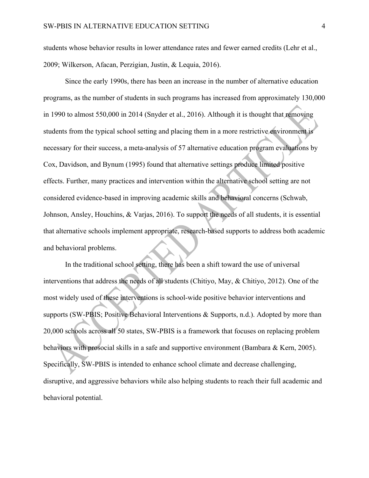students whose behavior results in lower attendance rates and fewer earned credits (Lehr et al., 2009; Wilkerson, Afacan, Perzigian, Justin, & Lequia, 2016).

Since the early 1990s, there has been an increase in the number of alternative education programs, as the number of students in such programs has increased from approximately 130,000 in 1990 to almost 550,000 in 2014 (Snyder et al., 2016). Although it is thought that removing students from the typical school setting and placing them in a more restrictive environment is necessary for their success, a meta-analysis of 57 alternative education program evaluations by Cox, Davidson, and Bynum (1995) found that alternative settings produce limited positive effects. Further, many practices and intervention within the alternative school setting are not considered evidence-based in improving academic skills and behavioral concerns (Schwab, Johnson, Ansley, Houchins, & Varjas, 2016). To support the needs of all students, it is essential that alternative schools implement appropriate, research-based supports to address both academic and behavioral problems.

In the traditional school setting, there has been a shift toward the use of universal interventions that address the needs of all students (Chitiyo, May, & Chitiyo, 2012). One of the most widely used of these interventions is school-wide positive behavior interventions and supports (SW-PBIS; Positive Behavioral Interventions & Supports, n.d.). Adopted by more than 20,000 schools across all 50 states, SW-PBIS is a framework that focuses on replacing problem behaviors with prosocial skills in a safe and supportive environment (Bambara & Kern, 2005). Specifically, SW-PBIS is intended to enhance school climate and decrease challenging, disruptive, and aggressive behaviors while also helping students to reach their full academic and behavioral potential.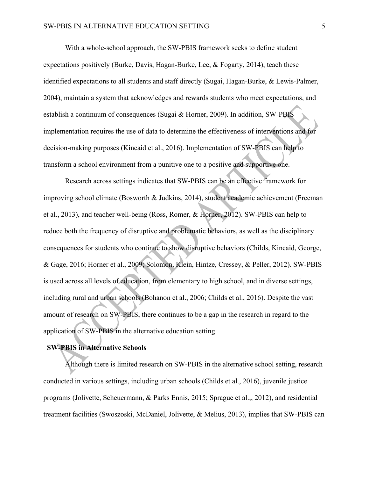With a whole-school approach, the SW-PBIS framework seeks to define student expectations positively (Burke, Davis, Hagan-Burke, Lee, & Fogarty, 2014), teach these identified expectations to all students and staff directly (Sugai, Hagan-Burke, & Lewis-Palmer, 2004), maintain a system that acknowledges and rewards students who meet expectations, and establish a continuum of consequences (Sugai & Horner, 2009). In addition, SW-PBIS implementation requires the use of data to determine the effectiveness of interventions and for decision-making purposes (Kincaid et al., 2016). Implementation of SW-PBIS can help to transform a school environment from a punitive one to a positive and supportive one.

Research across settings indicates that SW-PBIS can be an effective framework for improving school climate (Bosworth & Judkins, 2014), student academic achievement (Freeman et al., 2013), and teacher well-being (Ross, Romer, & Horner, 2012). SW-PBIS can help to reduce both the frequency of disruptive and problematic behaviors, as well as the disciplinary consequences for students who continue to show disruptive behaviors (Childs, Kincaid, George, & Gage, 2016; Horner et al., 2009; Solomon, Klein, Hintze, Cressey, & Peller, 2012). SW-PBIS is used across all levels of education, from elementary to high school, and in diverse settings, including rural and urban schools (Bohanon et al., 2006; Childs et al., 2016). Despite the vast amount of research on SW-PBIS, there continues to be a gap in the research in regard to the application of SW-PBIS in the alternative education setting.

## **SW-PBIS in Alternative Schools**

Although there is limited research on SW-PBIS in the alternative school setting, research conducted in various settings, including urban schools (Childs et al., 2016), juvenile justice programs (Jolivette, Scheuermann, & Parks Ennis, 2015; Sprague et al.,, 2012), and residential treatment facilities (Swoszoski, McDaniel, Jolivette, & Melius, 2013), implies that SW-PBIS can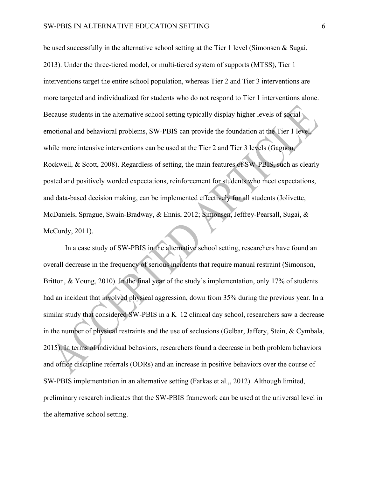be used successfully in the alternative school setting at the Tier 1 level (Simonsen & Sugai, 2013). Under the three-tiered model, or multi-tiered system of supports (MTSS), Tier 1 interventions target the entire school population, whereas Tier 2 and Tier 3 interventions are more targeted and individualized for students who do not respond to Tier 1 interventions alone. Because students in the alternative school setting typically display higher levels of socialemotional and behavioral problems, SW-PBIS can provide the foundation at the Tier 1 level, while more intensive interventions can be used at the Tier 2 and Tier 3 levels (Gagnon, Rockwell, & Scott, 2008). Regardless of setting, the main features of SW-PBIS, such as clearly posted and positively worded expectations, reinforcement for students who meet expectations, and data-based decision making, can be implemented effectively for all students (Jolivette, McDaniels, Sprague, Swain-Bradway, & Ennis, 2012; Simonsen, Jeffrey-Pearsall, Sugai, & McCurdy, 2011).

In a case study of SW-PBIS in the alternative school setting, researchers have found an overall decrease in the frequency of serious incidents that require manual restraint (Simonson, Britton, & Young, 2010). In the final year of the study's implementation, only 17% of students had an incident that involved physical aggression, down from 35% during the previous year. In a similar study that considered SW-PBIS in a K–12 clinical day school, researchers saw a decrease in the number of physical restraints and the use of seclusions (Gelbar, Jaffery, Stein, & Cymbala, 2015). In terms of individual behaviors, researchers found a decrease in both problem behaviors and office discipline referrals (ODRs) and an increase in positive behaviors over the course of SW-PBIS implementation in an alternative setting (Farkas et al.,, 2012). Although limited, preliminary research indicates that the SW-PBIS framework can be used at the universal level in the alternative school setting.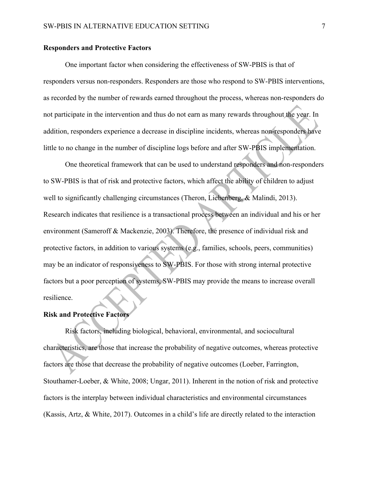# **Responders and Protective Factors**

One important factor when considering the effectiveness of SW-PBIS is that of responders versus non-responders. Responders are those who respond to SW-PBIS interventions, as recorded by the number of rewards earned throughout the process, whereas non-responders do not participate in the intervention and thus do not earn as many rewards throughout the year. In addition, responders experience a decrease in discipline incidents, whereas non-responders have little to no change in the number of discipline logs before and after SW-PBIS implementation.

One theoretical framework that can be used to understand responders and non-responders to SW-PBIS is that of risk and protective factors, which affect the ability of children to adjust well to significantly challenging circumstances (Theron, Liebenberg, & Malindi, 2013). Research indicates that resilience is a transactional process between an individual and his or her environment (Sameroff & Mackenzie, 2003). Therefore, the presence of individual risk and protective factors, in addition to various systems (e.g., families, schools, peers, communities) may be an indicator of responsiveness to SW-PBIS. For those with strong internal protective factors but a poor perception of systems, SW-PBIS may provide the means to increase overall resilience.

#### **Risk and Protective Factors**

Risk factors, including biological, behavioral, environmental, and sociocultural characteristics, are those that increase the probability of negative outcomes, whereas protective factors are those that decrease the probability of negative outcomes (Loeber, Farrington, Stouthamer-Loeber, & White, 2008; Ungar, 2011). Inherent in the notion of risk and protective factors is the interplay between individual characteristics and environmental circumstances (Kassis, Artz, & White, 2017). Outcomes in a child's life are directly related to the interaction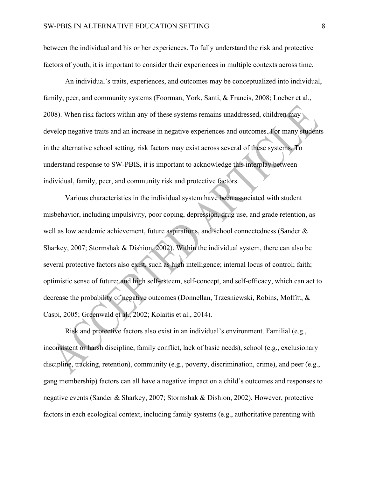between the individual and his or her experiences. To fully understand the risk and protective factors of youth, it is important to consider their experiences in multiple contexts across time.

An individual's traits, experiences, and outcomes may be conceptualized into individual, family, peer, and community systems (Foorman, York, Santi, & Francis, 2008; Loeber et al., 2008). When risk factors within any of these systems remains unaddressed, children may develop negative traits and an increase in negative experiences and outcomes. For many students in the alternative school setting, risk factors may exist across several of these systems. To understand response to SW-PBIS, it is important to acknowledge this interplay between individual, family, peer, and community risk and protective factors.

Various characteristics in the individual system have been associated with student misbehavior, including impulsivity, poor coping, depression, drug use, and grade retention, as well as low academic achievement, future aspirations, and school connectedness (Sander & Sharkey, 2007; Stormshak & Dishion, 2002). Within the individual system, there can also be several protective factors also exist, such as high intelligence; internal locus of control; faith; optimistic sense of future; and high self-esteem, self-concept, and self-efficacy, which can act to decrease the probability of negative outcomes (Donnellan, Trzesniewski, Robins, Moffitt, & Caspi, 2005; Greenwald et al., 2002; Kolaitis et al., 2014).

Risk and protective factors also exist in an individual's environment. Familial (e.g., inconsistent or harsh discipline, family conflict, lack of basic needs), school (e.g., exclusionary discipline, tracking, retention), community (e.g., poverty, discrimination, crime), and peer (e.g., gang membership) factors can all have a negative impact on a child's outcomes and responses to negative events (Sander & Sharkey, 2007; Stormshak & Dishion, 2002). However, protective factors in each ecological context, including family systems (e.g., authoritative parenting with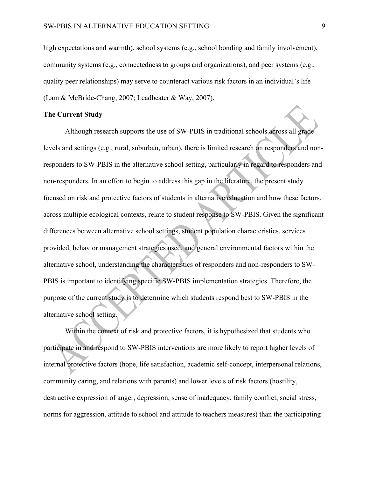high expectations and warmth), school systems (e.g., school bonding and family involvement), community systems (e.g., connectedness to groups and organizations), and peer systems (e.g., quality peer relationships) may serve to counteract various risk factors in an individual's life (Lam & McBride-Chang, 2007; Leadbeater & Way, 2007).

#### **The Current Study**

Although research supports the use of SW-PBIS in traditional schools across all grade levels and settings (e.g., rural, suburban, urban), there is limited research on responders and nonresponders to SW-PBIS in the alternative school setting, particularly in regard to responders and non-responders. In an effort to begin to address this gap in the literature, the present study focused on risk and protective factors of students in alternative education and how these factors, across multiple ecological contexts, relate to student response to SW-PBIS. Given the significant differences between alternative school settings, student population characteristics, services provided, behavior management strategies used, and general environmental factors within the alternative school, understanding the characteristics of responders and non-responders to SW-PBIS is important to identifying specific SW-PBIS implementation strategies. Therefore, the purpose of the current study is to determine which students respond best to SW-PBIS in the alternative school setting.

Within the context of risk and protective factors, it is hypothesized that students who participate in and respond to SW-PBIS interventions are more likely to report higher levels of internal protective factors (hope, life satisfaction, academic self-concept, interpersonal relations, community caring, and relations with parents) and lower levels of risk factors (hostility, destructive expression of anger, depression, sense of inadequacy, family conflict, social stress, norms for aggression, attitude to school and attitude to teachers measures) than the participating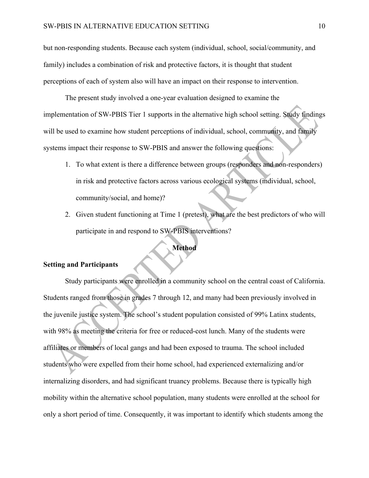but non-responding students. Because each system (individual, school, social/community, and family) includes a combination of risk and protective factors, it is thought that student perceptions of each of system also will have an impact on their response to intervention.

The present study involved a one-year evaluation designed to examine the implementation of SW-PBIS Tier 1 supports in the alternative high school setting. Study findings will be used to examine how student perceptions of individual, school, community, and family systems impact their response to SW-PBIS and answer the following questions:

- 1. To what extent is there a difference between groups (responders and non-responders) in risk and protective factors across various ecological systems (individual, school, community/social, and home)?
- 2. Given student functioning at Time 1 (pretest), what are the best predictors of who will participate in and respond to SW-PBIS interventions?

# **Method**

# **Setting and Participants**

Study participants were enrolled in a community school on the central coast of California. Students ranged from those in grades 7 through 12, and many had been previously involved in the juvenile justice system. The school's student population consisted of 99% Latinx students, with 98% as meeting the criteria for free or reduced-cost lunch. Many of the students were affiliates or members of local gangs and had been exposed to trauma. The school included students who were expelled from their home school, had experienced externalizing and/or internalizing disorders, and had significant truancy problems. Because there is typically high mobility within the alternative school population, many students were enrolled at the school for only a short period of time. Consequently, it was important to identify which students among the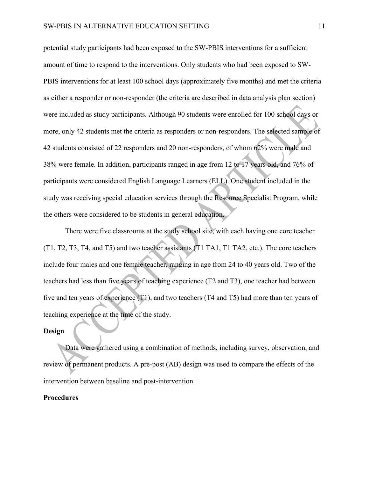potential study participants had been exposed to the SW-PBIS interventions for a sufficient amount of time to respond to the interventions. Only students who had been exposed to SW-PBIS interventions for at least 100 school days (approximately five months) and met the criteria as either a responder or non-responder (the criteria are described in data analysis plan section) were included as study participants. Although 90 students were enrolled for 100 school days or more, only 42 students met the criteria as responders or non-responders. The selected sample of 42 students consisted of 22 responders and 20 non-responders, of whom 62% were male and 38% were female. In addition, participants ranged in age from 12 to 17 years old, and 76% of participants were considered English Language Learners (ELL). One student included in the study was receiving special education services through the Resource Specialist Program, while the others were considered to be students in general education.

There were five classrooms at the study school site, with each having one core teacher (T1, T2, T3, T4, and T5) and two teacher assistants (T1 TA1, T1 TA2, etc.). The core teachers include four males and one female teacher, ranging in age from 24 to 40 years old. Two of the teachers had less than five years of teaching experience (T2 and T3), one teacher had between five and ten years of experience (T1), and two teachers (T4 and T5) had more than ten years of teaching experience at the time of the study.

# **Design**

Data were gathered using a combination of methods, including survey, observation, and review of permanent products. A pre-post (AB) design was used to compare the effects of the intervention between baseline and post-intervention.

#### **Procedures**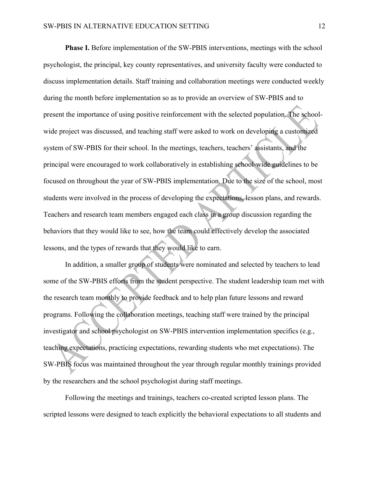**Phase I.** Before implementation of the SW-PBIS interventions, meetings with the school psychologist, the principal, key county representatives, and university faculty were conducted to discuss implementation details. Staff training and collaboration meetings were conducted weekly during the month before implementation so as to provide an overview of SW-PBIS and to present the importance of using positive reinforcement with the selected population. The schoolwide project was discussed, and teaching staff were asked to work on developing a customized system of SW-PBIS for their school. In the meetings, teachers, teachers' assistants, and the principal were encouraged to work collaboratively in establishing school-wide guidelines to be focused on throughout the year of SW-PBIS implementation. Due to the size of the school, most students were involved in the process of developing the expectations, lesson plans, and rewards. Teachers and research team members engaged each class in a group discussion regarding the behaviors that they would like to see, how the team could effectively develop the associated lessons, and the types of rewards that they would like to earn.

In addition, a smaller group of students were nominated and selected by teachers to lead some of the SW-PBIS efforts from the student perspective. The student leadership team met with the research team monthly to provide feedback and to help plan future lessons and reward programs. Following the collaboration meetings, teaching staff were trained by the principal investigator and school psychologist on SW-PBIS intervention implementation specifics (e.g., teaching expectations, practicing expectations, rewarding students who met expectations). The SW-PBIS focus was maintained throughout the year through regular monthly trainings provided by the researchers and the school psychologist during staff meetings.

Following the meetings and trainings, teachers co-created scripted lesson plans. The scripted lessons were designed to teach explicitly the behavioral expectations to all students and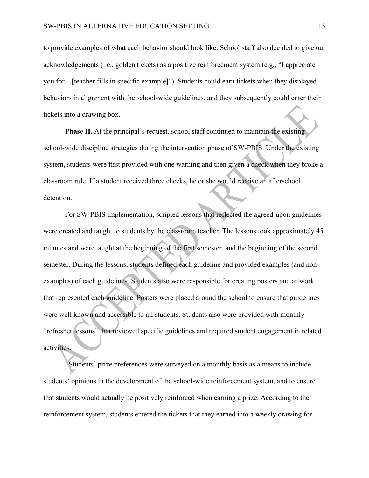to provide examples of what each behavior should look like. School staff also decided to give out acknowledgements (i.e., golden tickets) as a positive reinforcement system (e.g., "I appreciate you for…[teacher fills in specific example]"). Students could earn tickets when they displayed behaviors in alignment with the school-wide guidelines, and they subsequently could enter their tickets into a drawing box.

**Phase II.** At the principal's request, school staff continued to maintain the existing school-wide discipline strategies during the intervention phase of SW-PBIS. Under the existing system, students were first provided with one warning and then given a check when they broke a classroom rule. If a student received three checks, he or she would receive an afterschool detention.

For SW-PBIS implementation, scripted lessons that reflected the agreed-upon guidelines were created and taught to students by the classroom teacher. The lessons took approximately 45 minutes and were taught at the beginning of the first semester, and the beginning of the second semester. During the lessons, students defined each guideline and provided examples (and nonexamples) of each guidelines. Students also were responsible for creating posters and artwork that represented each guideline. Posters were placed around the school to ensure that guidelines were well known and accessible to all students. Students also were provided with monthly "refresher lessons" that reviewed specific guidelines and required student engagement in related activities.

Students' prize preferences were surveyed on a monthly basis as a means to include students' opinions in the development of the school-wide reinforcement system, and to ensure that students would actually be positively reinforced when earning a prize. According to the reinforcement system, students entered the tickets that they earned into a weekly drawing for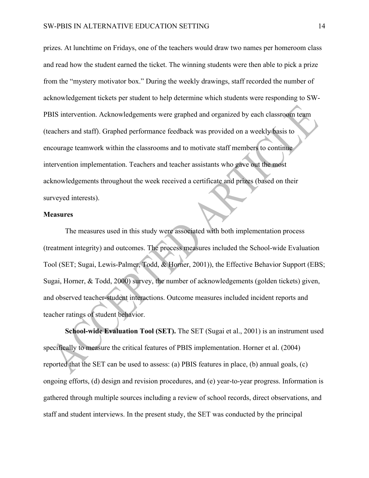prizes. At lunchtime on Fridays, one of the teachers would draw two names per homeroom class and read how the student earned the ticket. The winning students were then able to pick a prize from the "mystery motivator box." During the weekly drawings, staff recorded the number of acknowledgement tickets per student to help determine which students were responding to SW-PBIS intervention. Acknowledgements were graphed and organized by each classroom team (teachers and staff). Graphed performance feedback was provided on a weekly basis to encourage teamwork within the classrooms and to motivate staff members to continue intervention implementation. Teachers and teacher assistants who gave out the most acknowledgements throughout the week received a certificate and prizes (based on their surveyed interests).

# **Measures**

The measures used in this study were associated with both implementation process (treatment integrity) and outcomes. The process measures included the School-wide Evaluation Tool (SET; Sugai, Lewis-Palmer, Todd, & Horner, 2001)), the Effective Behavior Support (EBS; Sugai, Horner, & Todd, 2000) survey, the number of acknowledgements (golden tickets) given, and observed teacher-student interactions. Outcome measures included incident reports and teacher ratings of student behavior.

**School-wide Evaluation Tool (SET).** The SET (Sugai et al., 2001) is an instrument used specifically to measure the critical features of PBIS implementation. Horner et al. (2004) reported that the SET can be used to assess: (a) PBIS features in place, (b) annual goals, (c) ongoing efforts, (d) design and revision procedures, and (e) year-to-year progress. Information is gathered through multiple sources including a review of school records, direct observations, and staff and student interviews. In the present study, the SET was conducted by the principal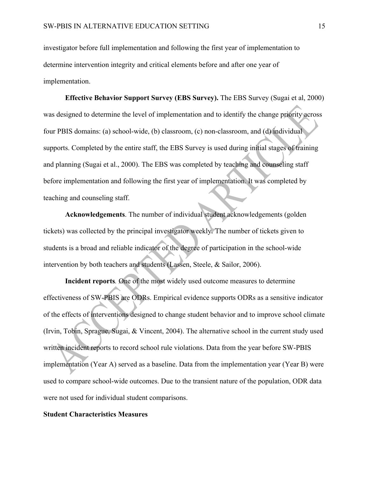investigator before full implementation and following the first year of implementation to determine intervention integrity and critical elements before and after one year of implementation.

**Effective Behavior Support Survey (EBS Survey).** The EBS Survey (Sugai et al, 2000) was designed to determine the level of implementation and to identify the change priority across four PBIS domains: (a) school-wide, (b) classroom, (c) non-classroom, and (d) individual supports. Completed by the entire staff, the EBS Survey is used during initial stages of training and planning (Sugai et al., 2000). The EBS was completed by teaching and counseling staff before implementation and following the first year of implementation. It was completed by teaching and counseling staff.

**Acknowledgements**. The number of individual student acknowledgements (golden tickets) was collected by the principal investigator weekly. The number of tickets given to students is a broad and reliable indicator of the degree of participation in the school-wide intervention by both teachers and students (Lassen, Steele, & Sailor, 2006).

**Incident reports***.* One of the most widely used outcome measures to determine effectiveness of SW-PBIS are ODRs. Empirical evidence supports ODRs as a sensitive indicator of the effects of interventions designed to change student behavior and to improve school climate (Irvin, Tobin, Sprague, Sugai, & Vincent, 2004). The alternative school in the current study used written incident reports to record school rule violations. Data from the year before SW-PBIS implementation (Year A) served as a baseline. Data from the implementation year (Year B) were used to compare school-wide outcomes. Due to the transient nature of the population, ODR data were not used for individual student comparisons.

# **Student Characteristics Measures**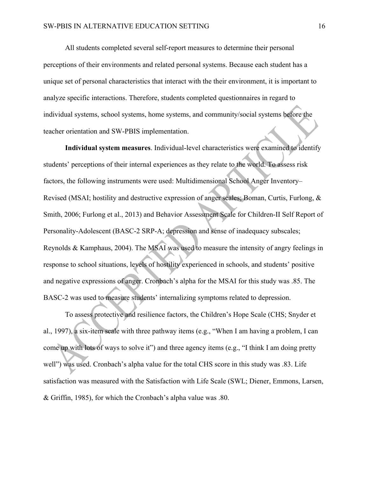All students completed several self-report measures to determine their personal perceptions of their environments and related personal systems. Because each student has a unique set of personal characteristics that interact with the their environment, it is important to analyze specific interactions. Therefore, students completed questionnaires in regard to individual systems, school systems, home systems, and community/social systems before the teacher orientation and SW-PBIS implementation.

**Individual system measures**. Individual-level characteristics were examined to identify students' perceptions of their internal experiences as they relate to the world. To assess risk factors, the following instruments were used: Multidimensional School Anger Inventory– Revised (MSAI; hostility and destructive expression of anger scales; Boman, Curtis, Furlong, & Smith, 2006; Furlong et al., 2013) and Behavior Assessment Scale for Children-II Self Report of Personality-Adolescent (BASC-2 SRP-A; depression and sense of inadequacy subscales; Reynolds & Kamphaus, 2004). The MSAI was used to measure the intensity of angry feelings in response to school situations, levels of hostility experienced in schools, and students' positive and negative expressions of anger. Cronbach's alpha for the MSAI for this study was .85. The BASC-2 was used to measure students' internalizing symptoms related to depression.

To assess protective and resilience factors, the Children's Hope Scale (CHS; Snyder et al., 1997), a six-item scale with three pathway items (e.g., "When I am having a problem, I can come up with lots of ways to solve it") and three agency items (e.g., "I think I am doing pretty well") was used. Cronbach's alpha value for the total CHS score in this study was .83. Life satisfaction was measured with the Satisfaction with Life Scale (SWL; Diener, Emmons, Larsen, & Griffin, 1985), for which the Cronbach's alpha value was .80.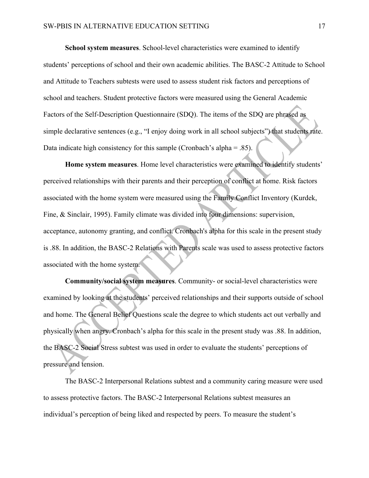**School system measures**. School-level characteristics were examined to identify students' perceptions of school and their own academic abilities. The BASC-2 Attitude to School and Attitude to Teachers subtests were used to assess student risk factors and perceptions of school and teachers. Student protective factors were measured using the General Academic Factors of the Self-Description Questionnaire (SDQ). The items of the SDQ are phrased as simple declarative sentences (e.g., "I enjoy doing work in all school subjects") that students rate. Data indicate high consistency for this sample (Cronbach's alpha = .85).

**Home system measures**. Home level characteristics were examined to identify students' perceived relationships with their parents and their perception of conflict at home. Risk factors associated with the home system were measured using the Family Conflict Inventory (Kurdek, Fine, & Sinclair, 1995). Family climate was divided into four dimensions: supervision, acceptance, autonomy granting, and conflict. Cronbach's alpha for this scale in the present study is .88. In addition, the BASC-2 Relations with Parents scale was used to assess protective factors associated with the home system.

**Community/social system measures**. Community- or social-level characteristics were examined by looking at the students' perceived relationships and their supports outside of school and home. The General Belief Questions scale the degree to which students act out verbally and physically when angry. Cronbach's alpha for this scale in the present study was .88. In addition, the BASC-2 Social Stress subtest was used in order to evaluate the students' perceptions of pressure and tension.

The BASC-2 Interpersonal Relations subtest and a community caring measure were used to assess protective factors. The BASC-2 Interpersonal Relations subtest measures an individual's perception of being liked and respected by peers. To measure the student's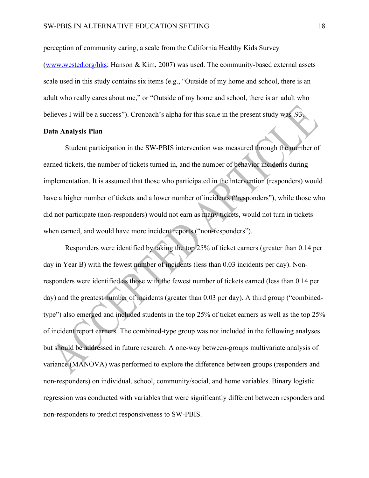perception of community caring, a scale from the California Healthy Kids Survey (www.wested.org/hks; Hanson & Kim, 2007) was used. The community-based external assets scale used in this study contains six items (e.g., "Outside of my home and school, there is an adult who really cares about me," or "Outside of my home and school, there is an adult who believes I will be a success"). Cronbach's alpha for this scale in the present study was .93.

# **Data Analysis Plan**

Student participation in the SW-PBIS intervention was measured through the number of earned tickets, the number of tickets turned in, and the number of behavior incidents during implementation. It is assumed that those who participated in the intervention (responders) would have a higher number of tickets and a lower number of incidents ("responders"), while those who did not participate (non-responders) would not earn as many tickets, would not turn in tickets when earned, and would have more incident reports ("non-responders").

Responders were identified by taking the top 25% of ticket earners (greater than 0.14 per day in Year B) with the fewest number of incidents (less than 0.03 incidents per day). Nonresponders were identified as those with the fewest number of tickets earned (less than 0.14 per day) and the greatest number of incidents (greater than 0.03 per day). A third group ("combinedtype") also emerged and included students in the top 25% of ticket earners as well as the top 25% of incident report earners. The combined-type group was not included in the following analyses but should be addressed in future research. A one-way between-groups multivariate analysis of variance (MANOVA) was performed to explore the difference between groups (responders and non-responders) on individual, school, community/social, and home variables. Binary logistic regression was conducted with variables that were significantly different between responders and non-responders to predict responsiveness to SW-PBIS.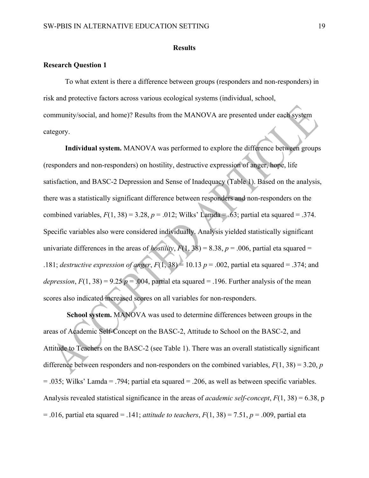#### **Results**

# **Research Question 1**

To what extent is there a difference between groups (responders and non-responders) in risk and protective factors across various ecological systems (individual, school, community/social, and home)? Results from the MANOVA are presented under each system category.

**Individual system.** MANOVA was performed to explore the difference between groups (responders and non-responders) on hostility, destructive expression of anger, hope, life satisfaction, and BASC-2 Depression and Sense of Inadequacy (Table 1). Based on the analysis, there was a statistically significant difference between responders and non-responders on the combined variables,  $F(1, 38) = 3.28$ ,  $p = .012$ ; Wilks' Lamda = .63; partial eta squared = .374. Specific variables also were considered individually. Analysis yielded statistically significant univariate differences in the areas of *hostility*,  $F(1, 38) = 8.38$ ,  $p = .006$ , partial eta squared = .181; *destructive expression of anger*,  $F(1, 38) = 10.13$   $p = .002$ , partial eta squared = .374; and *depression,*  $F(1, 38) = 9.25$   $p = .004$ , partial eta squared = .196. Further analysis of the mean scores also indicated increased scores on all variables for non-responders.

**School system.** MANOVA was used to determine differences between groups in the areas of Academic Self-Concept on the BASC-2, Attitude to School on the BASC-2, and Attitude to Teachers on the BASC-2 (see Table 1). There was an overall statistically significant difference between responders and non-responders on the combined variables, *F*(1, 38) = 3.20, *p* = .035; Wilks' Lamda = .794; partial eta squared = .206, as well as between specific variables. Analysis revealed statistical significance in the areas of *academic self-concept*, *F*(1, 38) = 6.38, p  $= .016$ , partial eta squared  $= .141$ ; *attitude to teachers*,  $F(1, 38) = 7.51$ ,  $p = .009$ , partial eta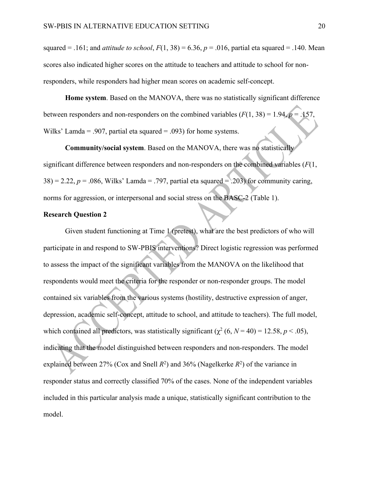squared = .161; and *attitude to school*,  $F(1, 38) = 6.36$ ,  $p = .016$ , partial eta squared = .140. Mean scores also indicated higher scores on the attitude to teachers and attitude to school for nonresponders, while responders had higher mean scores on academic self-concept.

**Home system**. Based on the MANOVA, there was no statistically significant difference between responders and non-responders on the combined variables  $(F(1, 38) = 1.94, p = .157,$ Wilks' Lamda = .907, partial eta squared = .093) for home systems.

**Community/social system**. Based on the MANOVA, there was no statistically significant difference between responders and non-responders on the combined variables (*F*(1,  $38$ ) = 2.22,  $p = .086$ , Wilks' Lamda = .797, partial eta squared = .203) for community caring, norms for aggression, or interpersonal and social stress on the BASC-2 (Table 1).

#### **Research Question 2**

Given student functioning at Time 1 (pretest), what are the best predictors of who will participate in and respond to SW-PBIS interventions? Direct logistic regression was performed to assess the impact of the significant variables from the MANOVA on the likelihood that respondents would meet the criteria for the responder or non-responder groups. The model contained six variables from the various systems (hostility, destructive expression of anger, depression, academic self-concept, attitude to school, and attitude to teachers). The full model, which contained all predictors, was statistically significant  $(\chi^2 (6, N = 40) = 12.58, p < .05)$ , indicating that the model distinguished between responders and non-responders. The model explained between 27% (Cox and Snell  $R^2$ ) and 36% (Nagelkerke  $R^2$ ) of the variance in responder status and correctly classified 70% of the cases. None of the independent variables included in this particular analysis made a unique, statistically significant contribution to the model.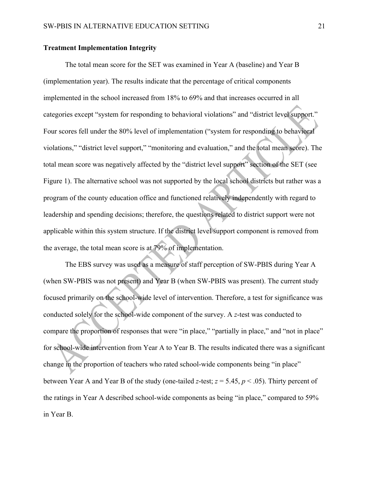# **Treatment Implementation Integrity**

The total mean score for the SET was examined in Year A (baseline) and Year B (implementation year). The results indicate that the percentage of critical components implemented in the school increased from 18% to 69% and that increases occurred in all categories except "system for responding to behavioral violations" and "district level support." Four scores fell under the 80% level of implementation ("system for responding to behavioral violations," "district level support," "monitoring and evaluation," and the total mean score). The total mean score was negatively affected by the "district level support" section of the SET (see Figure 1). The alternative school was not supported by the local school districts but rather was a program of the county education office and functioned relatively independently with regard to leadership and spending decisions; therefore, the questions related to district support were not applicable within this system structure. If the district level support component is removed from the average, the total mean score is at 79% of implementation.

The EBS survey was used as a measure of staff perception of SW-PBIS during Year A (when SW-PBIS was not present) and Year B (when SW-PBIS was present). The current study focused primarily on the school-wide level of intervention. Therefore, a test for significance was conducted solely for the school-wide component of the survey. A *z*-test was conducted to compare the proportion of responses that were "in place," "partially in place," and "not in place" for school-wide intervention from Year A to Year B. The results indicated there was a significant change in the proportion of teachers who rated school-wide components being "in place" between Year A and Year B of the study (one-tailed *z*-test; *z* = 5.45, *p* < .05). Thirty percent of the ratings in Year A described school-wide components as being "in place," compared to 59% in Year B.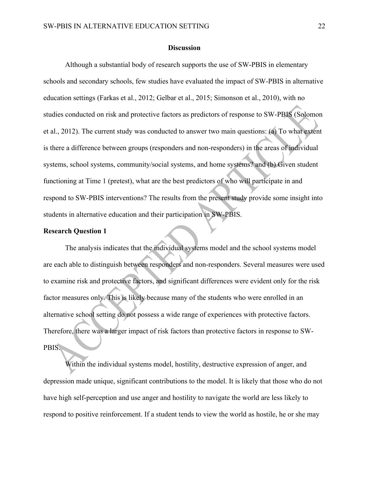## **Discussion**

Although a substantial body of research supports the use of SW-PBIS in elementary schools and secondary schools, few studies have evaluated the impact of SW-PBIS in alternative education settings (Farkas et al., 2012; Gelbar et al., 2015; Simonson et al., 2010), with no studies conducted on risk and protective factors as predictors of response to SW-PBIS (Solomon et al., 2012). The current study was conducted to answer two main questions: (a) To what extent is there a difference between groups (responders and non-responders) in the areas of individual systems, school systems, community/social systems, and home systems? and (b) Given student functioning at Time 1 (pretest), what are the best predictors of who will participate in and respond to SW-PBIS interventions? The results from the present study provide some insight into students in alternative education and their participation in SW-PBIS.

# **Research Question 1**

The analysis indicates that the individual systems model and the school systems model are each able to distinguish between responders and non-responders. Several measures were used to examine risk and protective factors, and significant differences were evident only for the risk factor measures only. This is likely because many of the students who were enrolled in an alternative school setting do not possess a wide range of experiences with protective factors. Therefore, there was a larger impact of risk factors than protective factors in response to SW-PBIS.

Within the individual systems model, hostility, destructive expression of anger, and depression made unique, significant contributions to the model. It is likely that those who do not have high self-perception and use anger and hostility to navigate the world are less likely to respond to positive reinforcement. If a student tends to view the world as hostile, he or she may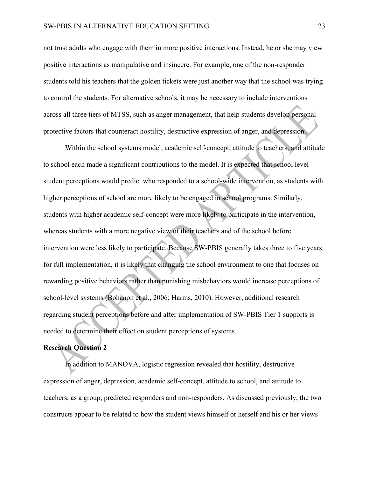not trust adults who engage with them in more positive interactions. Instead, he or she may view positive interactions as manipulative and insincere. For example, one of the non-responder students told his teachers that the golden tickets were just another way that the school was trying to control the students. For alternative schools, it may be necessary to include interventions across all three tiers of MTSS, such as anger management, that help students develop personal protective factors that counteract hostility, destructive expression of anger, and depression.

Within the school systems model, academic self-concept, attitude to teachers, and attitude to school each made a significant contributions to the model. It is expected that school level student perceptions would predict who responded to a school-wide intervention, as students with higher perceptions of school are more likely to be engaged in school programs. Similarly, students with higher academic self-concept were more likely to participate in the intervention, whereas students with a more negative view of their teachers and of the school before intervention were less likely to participate. Because SW-PBIS generally takes three to five years for full implementation, it is likely that changing the school environment to one that focuses on rewarding positive behaviors rather than punishing misbehaviors would increase perceptions of school-level systems (Bohanon et al., 2006; Harms, 2010). However, additional research regarding student perceptions before and after implementation of SW-PBIS Tier 1 supports is needed to determine their effect on student perceptions of systems.

#### **Research Question 2**

In addition to MANOVA, logistic regression revealed that hostility, destructive expression of anger, depression, academic self-concept, attitude to school, and attitude to teachers, as a group, predicted responders and non-responders. As discussed previously, the two constructs appear to be related to how the student views himself or herself and his or her views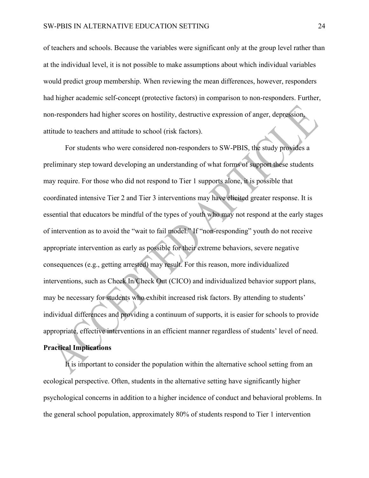of teachers and schools. Because the variables were significant only at the group level rather than at the individual level, it is not possible to make assumptions about which individual variables would predict group membership. When reviewing the mean differences, however, responders had higher academic self-concept (protective factors) in comparison to non-responders. Further, non-responders had higher scores on hostility, destructive expression of anger, depression, attitude to teachers and attitude to school (risk factors).

For students who were considered non-responders to SW-PBIS, the study provides a preliminary step toward developing an understanding of what forms of support these students may require. For those who did not respond to Tier 1 supports alone, it is possible that coordinated intensive Tier 2 and Tier 3 interventions may have elicited greater response. It is essential that educators be mindful of the types of youth who may not respond at the early stages of intervention as to avoid the "wait to fail model." If "non-responding" youth do not receive appropriate intervention as early as possible for their extreme behaviors, severe negative consequences (e.g., getting arrested) may result. For this reason, more individualized interventions, such as Check In/Check Out (CICO) and individualized behavior support plans, may be necessary for students who exhibit increased risk factors. By attending to students' individual differences and providing a continuum of supports, it is easier for schools to provide appropriate, effective interventions in an efficient manner regardless of students' level of need. **Practical Implications** 

It is important to consider the population within the alternative school setting from an ecological perspective. Often, students in the alternative setting have significantly higher psychological concerns in addition to a higher incidence of conduct and behavioral problems. In the general school population, approximately 80% of students respond to Tier 1 intervention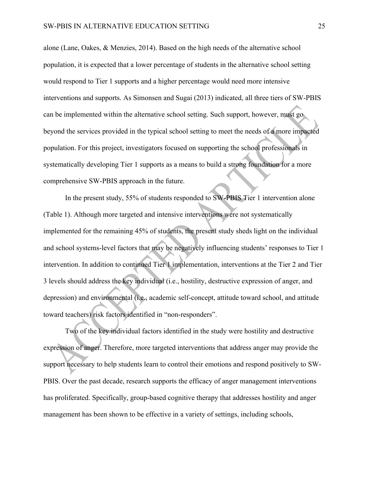alone (Lane, Oakes, & Menzies, 2014). Based on the high needs of the alternative school population, it is expected that a lower percentage of students in the alternative school setting would respond to Tier 1 supports and a higher percentage would need more intensive interventions and supports. As Simonsen and Sugai (2013) indicated, all three tiers of SW-PBIS can be implemented within the alternative school setting. Such support, however, must go beyond the services provided in the typical school setting to meet the needs of a more impacted population. For this project, investigators focused on supporting the school professionals in systematically developing Tier 1 supports as a means to build a strong foundation for a more comprehensive SW-PBIS approach in the future.

In the present study, 55% of students responded to SW-PBIS Tier 1 intervention alone (Table 1). Although more targeted and intensive interventions were not systematically implemented for the remaining 45% of students, the present study sheds light on the individual and school systems-level factors that may be negatively influencing students' responses to Tier 1 intervention. In addition to continued Tier 1 implementation, interventions at the Tier 2 and Tier 3 levels should address the key individual (i.e., hostility, destructive expression of anger, and depression) and environmental (i.e., academic self-concept, attitude toward school, and attitude toward teachers) risk factors identified in "non-responders".

Two of the key individual factors identified in the study were hostility and destructive expression of anger. Therefore, more targeted interventions that address anger may provide the support necessary to help students learn to control their emotions and respond positively to SW-PBIS. Over the past decade, research supports the efficacy of anger management interventions has proliferated. Specifically, group-based cognitive therapy that addresses hostility and anger management has been shown to be effective in a variety of settings, including schools,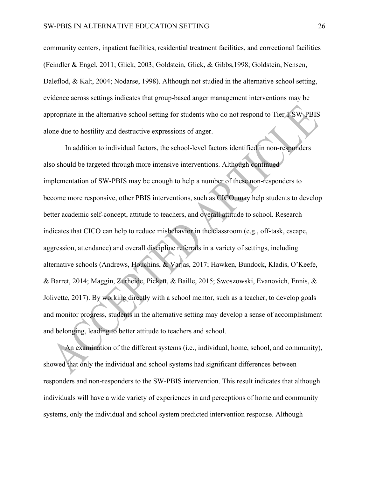community centers, inpatient facilities, residential treatment facilities, and correctional facilities (Feindler & Engel, 2011; Glick, 2003; Goldstein, Glick, & Gibbs,1998; Goldstein, Nensen, Daleflod, & Kalt, 2004; Nodarse, 1998). Although not studied in the alternative school setting, evidence across settings indicates that group-based anger management interventions may be appropriate in the alternative school setting for students who do not respond to Tier 1 SW-PBIS alone due to hostility and destructive expressions of anger.

In addition to individual factors, the school-level factors identified in non-responders also should be targeted through more intensive interventions. Although continued implementation of SW-PBIS may be enough to help a number of these non-responders to become more responsive, other PBIS interventions, such as CICO, may help students to develop better academic self-concept, attitude to teachers, and overall attitude to school. Research indicates that CICO can help to reduce misbehavior in the classroom (e.g., off-task, escape, aggression, attendance) and overall discipline referrals in a variety of settings, including alternative schools (Andrews, Houchins, & Varjas, 2017; Hawken, Bundock, Kladis, O'Keefe, & Barret, 2014; Maggin, Zurheide, Pickett, & Baille, 2015; Swoszowski, Evanovich, Ennis, & Jolivette, 2017). By working directly with a school mentor, such as a teacher, to develop goals and monitor progress, students in the alternative setting may develop a sense of accomplishment and belonging, leading to better attitude to teachers and school.

An examination of the different systems (i.e., individual, home, school, and community), showed that only the individual and school systems had significant differences between responders and non-responders to the SW-PBIS intervention. This result indicates that although individuals will have a wide variety of experiences in and perceptions of home and community systems, only the individual and school system predicted intervention response. Although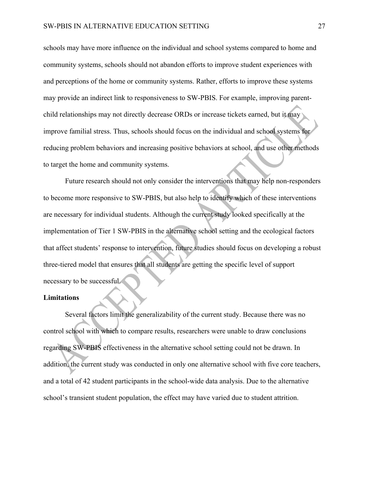schools may have more influence on the individual and school systems compared to home and community systems, schools should not abandon efforts to improve student experiences with and perceptions of the home or community systems. Rather, efforts to improve these systems may provide an indirect link to responsiveness to SW-PBIS. For example, improving parentchild relationships may not directly decrease ORDs or increase tickets earned, but it may improve familial stress. Thus, schools should focus on the individual and school systems for reducing problem behaviors and increasing positive behaviors at school, and use other methods to target the home and community systems.

Future research should not only consider the interventions that may help non-responders to become more responsive to SW-PBIS, but also help to identify which of these interventions are necessary for individual students. Although the current study looked specifically at the implementation of Tier 1 SW-PBIS in the alternative school setting and the ecological factors that affect students' response to intervention, future studies should focus on developing a robust three-tiered model that ensures that all students are getting the specific level of support necessary to be successful.

# **Limitations**

Several factors limit the generalizability of the current study. Because there was no control school with which to compare results, researchers were unable to draw conclusions regarding SW-PBIS effectiveness in the alternative school setting could not be drawn. In addition, the current study was conducted in only one alternative school with five core teachers, and a total of 42 student participants in the school-wide data analysis. Due to the alternative school's transient student population, the effect may have varied due to student attrition.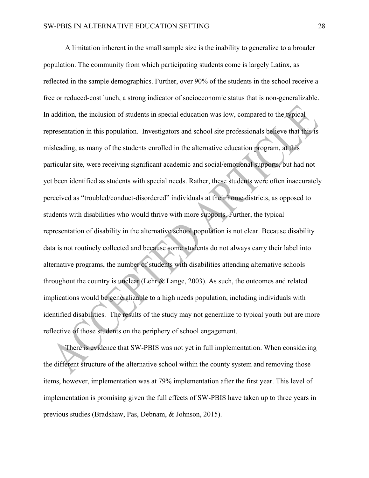A limitation inherent in the small sample size is the inability to generalize to a broader population. The community from which participating students come is largely Latinx, as reflected in the sample demographics. Further, over 90% of the students in the school receive a free or reduced-cost lunch, a strong indicator of socioeconomic status that is non-generalizable. In addition, the inclusion of students in special education was low, compared to the typical representation in this population. Investigators and school site professionals believe that this is misleading, as many of the students enrolled in the alternative education program, at this particular site, were receiving significant academic and social/emotional supports, but had not yet been identified as students with special needs. Rather, these students were often inaccurately perceived as "troubled/conduct-disordered" individuals at their home districts, as opposed to students with disabilities who would thrive with more supports. Further, the typical representation of disability in the alternative school population is not clear. Because disability data is not routinely collected and because some students do not always carry their label into alternative programs, the number of students with disabilities attending alternative schools throughout the country is unclear (Lehr & Lange, 2003). As such, the outcomes and related implications would be generalizable to a high needs population, including individuals with identified disabilities. The results of the study may not generalize to typical youth but are more reflective of those students on the periphery of school engagement.

There is evidence that SW-PBIS was not yet in full implementation. When considering the different structure of the alternative school within the county system and removing those items, however, implementation was at 79% implementation after the first year. This level of implementation is promising given the full effects of SW-PBIS have taken up to three years in previous studies (Bradshaw, Pas, Debnam, & Johnson, 2015).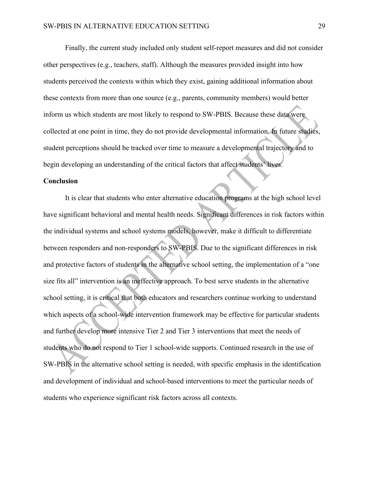Finally, the current study included only student self-report measures and did not consider other perspectives (e.g., teachers, staff). Although the measures provided insight into how students perceived the contexts within which they exist, gaining additional information about these contexts from more than one source (e.g., parents, community members) would better inform us which students are most likely to respond to SW-PBIS. Because these data were collected at one point in time, they do not provide developmental information. In future studies, student perceptions should be tracked over time to measure a developmental trajectory and to begin developing an understanding of the critical factors that affect students' lives.

# **Conclusion**

It is clear that students who enter alternative education programs at the high school level have significant behavioral and mental health needs. Significant differences in risk factors within the individual systems and school systems models, however, make it difficult to differentiate between responders and non-responders to SW-PBIS. Due to the significant differences in risk and protective factors of students in the alternative school setting, the implementation of a "one size fits all" intervention is an ineffective approach. To best serve students in the alternative school setting, it is critical that both educators and researchers continue working to understand which aspects of a school-wide intervention framework may be effective for particular students and further develop more intensive Tier 2 and Tier 3 interventions that meet the needs of students who do not respond to Tier 1 school-wide supports. Continued research in the use of SW-PBIS in the alternative school setting is needed, with specific emphasis in the identification and development of individual and school-based interventions to meet the particular needs of students who experience significant risk factors across all contexts.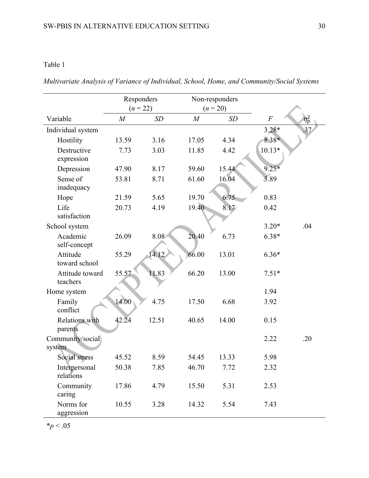# Table 1

*Multivariate Analysis of Variance of Individual, School, Home, and Community/Social Systems* 

|                             | Responders         |       | Non-responders |       |                |            |
|-----------------------------|--------------------|-------|----------------|-------|----------------|------------|
|                             | $(n = 22)$         |       | $(n=20)$       |       |                |            |
| Variable                    | M                  | SD    | $\overline{M}$ | SD    | $\overline{F}$ | $\eta_p^2$ |
| Individual system           |                    |       |                |       | $3.28*$        | 37         |
| Hostility                   | 13.59              | 3.16  | 17.05          | 4.34  | $8.38*$        |            |
| Destructive<br>expression   | 7.73               | 3.03  | 11.85          | 4.42  | $10.13*$       |            |
| Depression                  | 47.90              | 8.17  | 59.60          | 15.44 | $9.25*$        |            |
| Sense of<br>inadequacy      | 53.81              | 8.71  | 61.60          | 16.04 | 3.89           |            |
| Hope                        | 21.59              | 5.65  | 19.70          | 6.75  | 0.83           |            |
| Life<br>satisfaction        | 20.73              | 4.19  | 19.40          | 8.17  | 0.42           |            |
| School system               |                    |       |                |       | $3.20*$        | .04        |
| Academic<br>self-concept    | 26.09              | 8.08  | 20.40          | 6.73  | $6.38*$        |            |
| Attitude<br>toward school   | 55.29              | 14.12 | 66.00          | 13.01 | $6.36*$        |            |
| Attitude toward<br>teachers | 55.57              | 11.83 | 66.20          | 13.00 | $7.51*$        |            |
| Home system                 |                    |       |                |       | 1.94           |            |
| Family<br>conflict          | 14.00              | 4.75  | 17.50          | 6.68  | 3.92           |            |
| Relations with<br>parents   | $42.\overline{2}4$ | 12.51 | 40.65          | 14.00 | 0.15           |            |
| Community/social<br>system  |                    |       |                |       | 2.22           | .20        |
| Social stress               | 45.52              | 8.59  | 54.45          | 13.33 | 5.98           |            |
| Interpersonal<br>relations  | 50.38              | 7.85  | 46.70          | 7.72  | 2.32           |            |
| Community<br>caring         | 17.86              | 4.79  | 15.50          | 5.31  | 2.53           |            |
| Norms for<br>aggression     | 10.55              | 3.28  | 14.32          | 5.54  | 7.43           |            |

 $*_{p}$  < .05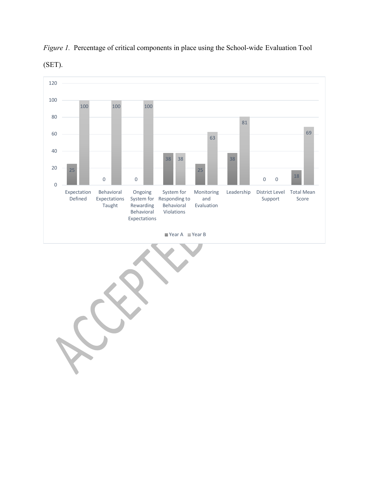

*Figure 1.* Percentage of critical components in place using the School-wide Evaluation Tool

(SET).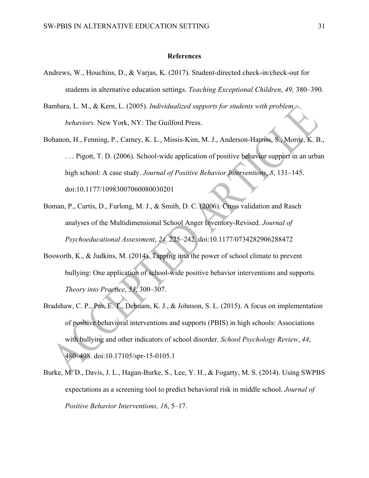#### **References**

- Andrews, W., Houchins, D., & Varjas, K. (2017). Student-directed check-in/check-out for students in alternative education settings. *Teaching Exceptional Children*, *49,* 380–390.
- Bambara, L. M., & Kern, L. (2005). *Individualized supports for students with problem behaviors*. New York, NY: The Guilford Press.
- Bohanon, H., Fenning, P., Carney, K. L., Missis-Kim, M. J., Anderson-Harriss, S., Moroz, K. B., . . . Pigott, T. D. (2006). School-wide application of positive behavior support in an urban high school: A case study. *Journal of Positive Behavior Interventions*, *8*, 131–145. doi:10.1177/10983007060080030201
- Boman, P., Curtis, D., Furlong, M. J., & Smith, D. C. (2006). Cross validation and Rasch analyses of the Multidimensional School Anger Inventory-Revised. *Journal of Psychoeducational Assessment*, *24,* 225–242. doi:10.1177/0734282906288472
- Bosworth, K., & Judkins, M. (2014). Tapping into the power of school climate to prevent bullying: One application of school-wide positive behavior interventions and supports. *Theory into Practice*, *53*, 300–307.
- Bradshaw, C. P., Pas, E. T., Debnam, K. J., & Johnson, S. L. (2015). A focus on implementation of positive behavioral interventions and supports (PBIS) in high schools: Associations with bullying and other indicators of school disorder. *School Psychology Review*, *44*, 480–498. doi:10.17105/spr-15-0105.1
- Burke, M. D., Davis, J. L., Hagan-Burke, S., Lee, Y. H., & Fogarty, M. S. (2014). Using SWPBS expectations as a screening tool to predict behavioral risk in middle school. *Journal of Positive Behavior Interventions, 16*, 5–17.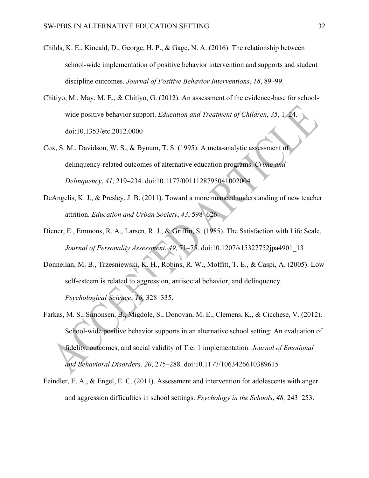- Childs, K. E., Kincaid, D., George, H. P., & Gage, N. A. (2016). The relationship between school-wide implementation of positive behavior intervention and supports and student discipline outcomes. *Journal of Positive Behavior Interventions*, *18*, 89–99.
- Chitiyo, M., May, M. E., & Chitiyo, G. (2012). An assessment of the evidence-base for schoolwide positive behavior support. *Education and Treatment of Children*, *35*, 1–24. doi:10.1353/etc.2012.0000
- Cox, S. M., Davidson, W. S., & Bynum, T. S. (1995). A meta-analytic assessment of delinquency-related outcomes of alternative education programs. *Crime and Delinquency*, *41*, 219–234. doi:10.1177/0011128795041002004
- DeAngelis, K. J., & Presley, J. B. (2011). Toward a more nuanced understanding of new teacher attrition. *Education and Urban Society*, *43*, 598–626.
- Diener, E., Emmons, R. A., Larsen, R. J., & Griffin, S. (1985). The Satisfaction with Life Scale. *Journal of Personality Assessment*, *49,* 71–75. doi:10.1207/s15327752jpa4901\_13
- Donnellan, M. B., Trzesniewski, K. H., Robins, R. W., Moffitt, T. E., & Caspi, A. (2005). Low self-esteem is related to aggression, antisocial behavior, and delinquency. *Psychological Science*, *16,* 328–335.
- Farkas, M. S., Simonsen, B., Migdole, S., Donovan, M. E., Clemens, K., & Cicchese, V. (2012). School-wide positive behavior supports in an alternative school setting: An evaluation of fidelity, outcomes, and social validity of Tier 1 implementation. *Journal of Emotional and Behavioral Disorders, 20*, 275–288. doi:10.1177/1063426610389615
- Feindler, E. A., & Engel, E. C. (2011). Assessment and intervention for adolescents with anger and aggression difficulties in school settings. *Psychology in the Schools*, *48,* 243–253.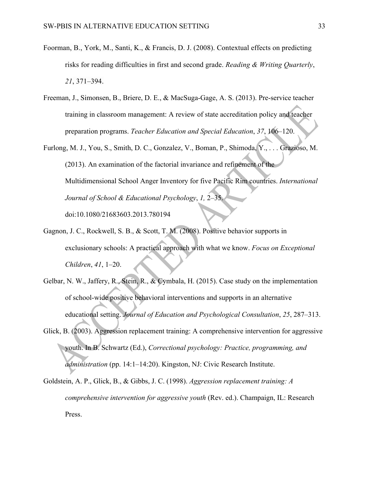- Foorman, B., York, M., Santi, K., & Francis, D. J. (2008). Contextual effects on predicting risks for reading difficulties in first and second grade. *Reading & Writing Quarterly*, *21*, 371–394.
- Freeman, J., Simonsen, B., Briere, D. E., & MacSuga-Gage, A. S. (2013). Pre-service teacher training in classroom management: A review of state accreditation policy and teacher preparation programs. *Teacher Education and Special Education*, *37*, 106–120.
- Furlong, M. J., You, S., Smith, D. C., Gonzalez, V., Boman, P., Shimoda, Y., . . . Grazioso, M. (2013). An examination of the factorial invariance and refinement of the Multidimensional School Anger Inventory for five Pacific Rim countries. *International Journal of School & Educational Psychology*, *1,* 2–35. doi:10.1080/21683603.2013.780194
- Gagnon, J. C., Rockwell, S. B., & Scott, T. M. (2008). Positive behavior supports in exclusionary schools: A practical approach with what we know. *Focus on Exceptional Children*, *41*, 1–20.
- Gelbar, N. W., Jaffery, R., Stein, R., & Cymbala, H. (2015). Case study on the implementation of school-wide positive behavioral interventions and supports in an alternative educational setting. *Journal of Education and Psychological Consultation*, *25*, 287–313.
- Glick, B. (2003). Aggression replacement training: A comprehensive intervention for aggressive youth. In B. Schwartz (Ed.), *Correctional psychology: Practice, programming, and administration* (pp. 14:1–14:20). Kingston, NJ: Civic Research Institute.
- Goldstein, A. P., Glick, B., & Gibbs, J. C. (1998). *Aggression replacement training: A comprehensive intervention for aggressive youth* (Rev. ed.). Champaign, IL: Research Press.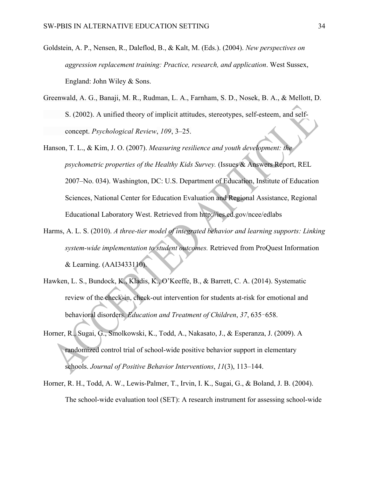- Goldstein, A. P., Nensen, R., Daleflod, B., & Kalt, M. (Eds.). (2004). *New perspectives on aggression replacement training: Practice, research, and application*. West Sussex, England: John Wiley & Sons.
- Greenwald, A. G., Banaji, M. R., Rudman, L. A., Farnham, S. D., Nosek, B. A., & Mellott, D. S. (2002). A unified theory of implicit attitudes, stereotypes, self-esteem, and selfconcept. *Psychological Review*, *109*, 3–25.
- Hanson, T. L., & Kim, J. O. (2007). *Measuring resilience and youth development: the psychometric properties of the Healthy Kids Survey.* (Issues & Answers Report, REL 2007–No. 034). Washington, DC: U.S. Department of Education, Institute of Education Sciences, National Center for Education Evaluation and Regional Assistance, Regional Educational Laboratory West. Retrieved from http://ies.ed.gov/ncee/edlabs
- Harms, A. L. S. (2010). *A three-tier model of integrated behavior and learning supports: Linking system-wide implementation to student outcomes.* Retrieved from ProQuest Information & Learning. (AAI3433110).
- Hawken, L. S., Bundock, K., Kladis, K., O'Keeffe, B., & Barrett, C. A. (2014). Systematic review of the check-in, check-out intervention for students at-risk for emotional and behavioral disorders. *Education and Treatment of Children*, *37*, 635–658.
- Horner, R., Sugai, G., Smolkowski, K., Todd, A., Nakasato, J., & Esperanza, J. (2009). A randomized control trial of school-wide positive behavior support in elementary schools. *Journal of Positive Behavior Interventions*, *11*(3), 113–144.
- Horner, R. H., Todd, A. W., Lewis-Palmer, T., Irvin, I. K., Sugai, G., & Boland, J. B. (2004). The school-wide evaluation tool (SET): A research instrument for assessing school-wide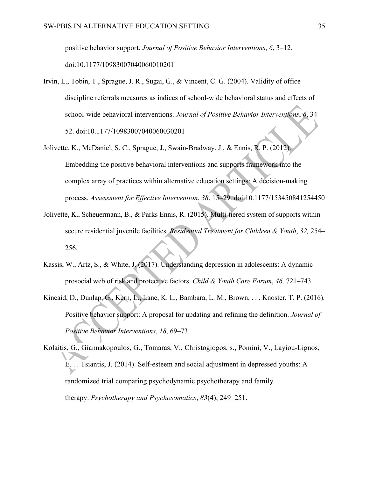positive behavior support. *Journal of Positive Behavior Interventions*, *6*, 3–12. doi:10.1177/10983007040060010201

- Irvin, L., Tobin, T., Sprague, J. R., Sugai, G., & Vincent, C. G. (2004). Validity of office discipline referrals measures as indices of school-wide behavioral status and effects of school-wide behavioral interventions. *Journal of Positive Behavior Interventions*, *6*, 34– 52. doi:10.1177/10983007040060030201
- Jolivette, K., McDaniel, S. C., Sprague, J., Swain-Bradway, J., & Ennis, R. P. (2012). Embedding the positive behavioral interventions and supports framework into the complex array of practices within alternative education settings: A decision-making process. *Assessment for Effective Intervention*, *38*, 15–29. doi:10.1177/153450841254450
- Jolivette, K., Scheuermann, B., & Parks Ennis, R. (2015). Multi-tiered system of supports within secure residential juvenile facilities. *Residential Treatment for Children & Youth*, *32,* 254– 256.
- Kassis, W., Artz, S., & White, J. (2017). Understanding depression in adolescents: A dynamic prosocial web of risk and protective factors. *Child & Youth Care Forum*, *46,* 721–743.
- Kincaid, D., Dunlap, G., Kern, L., Lane, K. L., Bambara, L. M., Brown, . . . Knoster, T. P. (2016). Positive behavior support: A proposal for updating and refining the definition. *Journal of Positive Behavior Interventions*, *18*, 69–73.

Kolaitis, G., Giannakopoulos, G., Tomaras, V., Christogiogos, s., Pomini, V., Layiou-Lignos, E. . . Tsiantis, J. (2014). Self-esteem and social adjustment in depressed youths: A randomized trial comparing psychodynamic psychotherapy and family therapy. *Psychotherapy and Psychosomatics*, *83*(4), 249–251.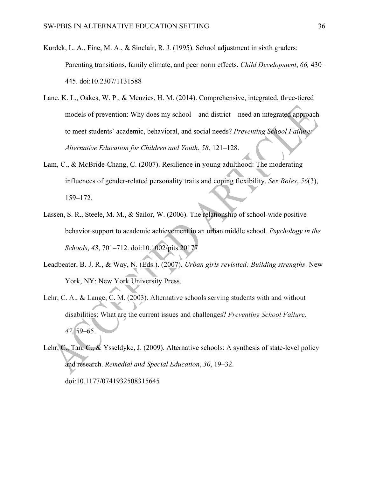- Kurdek, L. A., Fine, M. A., & Sinclair, R. J. (1995). School adjustment in sixth graders: Parenting transitions, family climate, and peer norm effects. *Child Development*, *66,* 430– 445. doi:10.2307/1131588
- Lane, K. L., Oakes, W. P., & Menzies, H. M. (2014). Comprehensive, integrated, three-tiered models of prevention: Why does my school—and district—need an integrated approach to meet students' academic, behavioral, and social needs? *Preventing School Failure: Alternative Education for Children and Youth*, *58*, 121–128.
- Lam, C., & McBride-Chang, C. (2007). Resilience in young adulthood: The moderating influences of gender-related personality traits and coping flexibility. *Sex Roles*, *56*(3), 159–172.
- Lassen, S. R., Steele, M. M., & Sailor, W. (2006). The relationship of school-wide positive behavior support to academic achievement in an urban middle school*. Psychology in the Schools*, *43*, 701–712. doi:10.1002/pits.20177
- Leadbeater, B. J. R., & Way, N. (Eds.). (2007). *Urban girls revisited: Building strengths*. New York, NY: New York University Press.
- Lehr, C. A., & Lange, C. M. (2003). Alternative schools serving students with and without disabilities: What are the current issues and challenges? *Preventing School Failure, 47,* 59–65.
- Lehr, C., Tan, C., & Ysseldyke, J. (2009). Alternative schools: A synthesis of state-level policy and research. *Remedial and Special Education*, *30*, 19–32. doi:10.1177/0741932508315645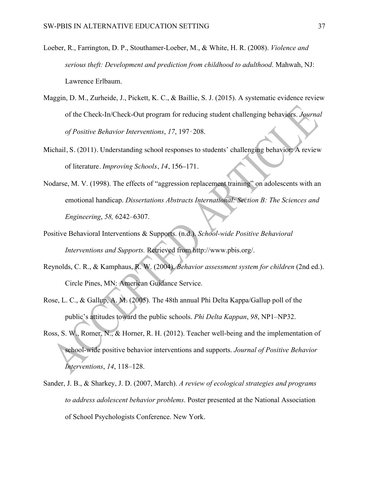- Loeber, R., Farrington, D. P., Stouthamer-Loeber, M., & White, H. R. (2008). *Violence and serious theft: Development and prediction from childhood to adulthood*. Mahwah, NJ: Lawrence Erlbaum.
- Maggin, D. M., Zurheide, J., Pickett, K. C., & Baillie, S. J. (2015). A systematic evidence review of the Check-In/Check-Out program for reducing student challenging behaviors. *Journal of Positive Behavior Interventions*, *17*, 197–208.
- Michail, S. (2011). Understanding school responses to students' challenging behavior: A review of literature. *Improving Schools*, *14*, 156–171.
- Nodarse, M. V. (1998). The effects of "aggression replacement training" on adolescents with an emotional handicap. *Dissertations Abstracts International: Section B: The Sciences and Engineering*, *58,* 6242–6307.
- Positive Behavioral Interventions & Supports. (n.d.). *School-wide Positive Behavioral Interventions and Supports.* Retrieved from http://www.pbis.org/.
- Reynolds, C. R., & Kamphaus, R. W. (2004). *Behavior assessment system for children* (2nd ed.). Circle Pines, MN: American Guidance Service.
- Rose, L. C., & Gallup, A. M. (2005). The 48th annual Phi Delta Kappa/Gallup poll of the public's attitudes toward the public schools. *Phi Delta Kappan*, *98*, NP1–NP32.
- Ross, S. W., Romer, N., & Horner, R. H. (2012). Teacher well-being and the implementation of school-wide positive behavior interventions and supports. *Journal of Positive Behavior Interventions*, *14*, 118–128.
- Sander, J. B., & Sharkey, J. D. (2007, March). *A review of ecological strategies and programs to address adolescent behavior problems*. Poster presented at the National Association of School Psychologists Conference. New York.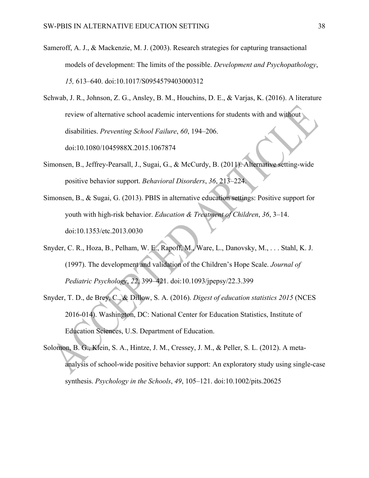- Sameroff, A. J., & Mackenzie, M. J. (2003). Research strategies for capturing transactional models of development: The limits of the possible. *Development and Psychopathology*, *15,* 613–640. doi:10.1017/S0954579403000312
- Schwab, J. R., Johnson, Z. G., Ansley, B. M., Houchins, D. E., & Varjas, K. (2016). A literature review of alternative school academic interventions for students with and without disabilities. *Preventing School Failure*, *60*, 194–206. doi:10.1080/1045988X.2015.1067874
- Simonsen, B., Jeffrey-Pearsall, J., Sugai, G., & McCurdy, B. (2011). Alternative setting-wide positive behavior support. *Behavioral Disorders*, *36*, 213–224.
- Simonsen, B., & Sugai, G. (2013). PBIS in alternative education settings: Positive support for youth with high-risk behavior. *Education & Treatment of Children*, *36*, 3–14. doi:10.1353/etc.2013.0030
- Snyder, C. R., Hoza, B., Pelham, W. E., Rapoff, M., Ware, L., Danovsky, M., . . . Stahl, K. J. (1997). The development and validation of the Children's Hope Scale. *Journal of Pediatric Psychology*, *22*, 399–421. doi:10.1093/jpepsy/22.3.399
- Snyder, T. D., de Brey, C., & Dillow, S. A. (2016). *Digest of education statistics 2015* (NCES 2016-014). Washington, DC: National Center for Education Statistics, Institute of Education Sciences, U.S. Department of Education.
- Solomon, B. G., Klein, S. A., Hintze, J. M., Cressey, J. M., & Peller, S. L. (2012). A metaanalysis of school-wide positive behavior support: An exploratory study using single-case synthesis. *Psychology in the Schools*, *49*, 105–121. doi:10.1002/pits.20625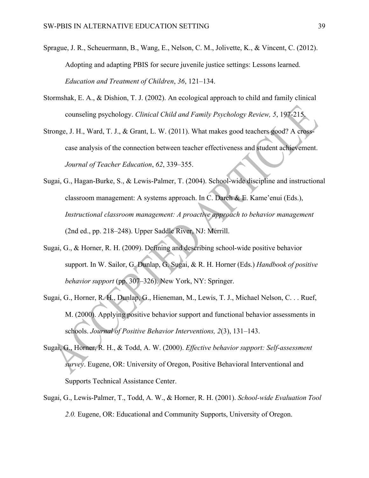- Sprague, J. R., Scheuermann, B., Wang, E., Nelson, C. M., Jolivette, K., & Vincent, C. (2012). Adopting and adapting PBIS for secure juvenile justice settings: Lessons learned. *Education and Treatment of Children*, *36*, 121–134.
- Stormshak, E. A., & Dishion, T. J. (2002). An ecological approach to child and family clinical counseling psychology. *Clinical Child and Family Psychology Review, 5*, 197-215.
- Stronge, J. H., Ward, T. J., & Grant, L. W. (2011). What makes good teachers good? A crosscase analysis of the connection between teacher effectiveness and student achievement. *Journal of Teacher Education*, *62*, 339–355.
- Sugai, G., Hagan-Burke, S., & Lewis-Palmer, T. (2004). School-wide discipline and instructional classroom management: A systems approach. In C. Darch & E. Kame'enui (Eds.), *Instructional classroom management: A proactive approach to behavior management*  (2nd ed., pp. 218–248). Upper Saddle River, NJ: Merrill.
- Sugai, G., & Horner, R. H. (2009). Defining and describing school-wide positive behavior support. In W. Sailor, G. Dunlap, G. Sugai, & R. H. Horner (Eds.) *Handbook of positive behavior support* (pp. 307–326). New York, NY: Springer.
- Sugai, G., Horner, R. H., Dunlap, G., Hieneman, M., Lewis, T. J., Michael Nelson, C. . . Ruef, M. (2000). Applying positive behavior support and functional behavior assessments in schools. *Journal of Positive Behavior Interventions, 2*(3), 131–143.
- Sugai, G., Horner, R. H., & Todd, A. W. (2000). *Effective behavior support: Self-assessment survey*. Eugene, OR: University of Oregon, Positive Behavioral Interventional and Supports Technical Assistance Center.
- Sugai, G., Lewis-Palmer, T., Todd, A. W., & Horner, R. H. (2001). *School-wide Evaluation Tool 2.0.* Eugene, OR: Educational and Community Supports, University of Oregon.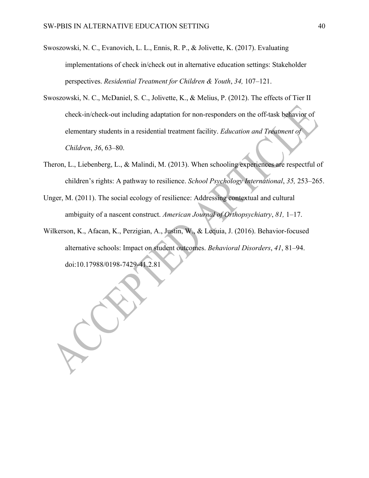- Swoszowski, N. C., Evanovich, L. L., Ennis, R. P., & Jolivette, K. (2017). Evaluating implementations of check in/check out in alternative education settings: Stakeholder perspectives. *Residential Treatment for Children & Youth*, *34,* 107–121.
- Swoszowski, N. C., McDaniel, S. C., Jolivette, K., & Melius, P. (2012). The effects of Tier II check-in/check-out including adaptation for non-responders on the off-task behavior of elementary students in a residential treatment facility. *Education and Treatment of Children*, *36*, 63–80.
- Theron, L., Liebenberg, L., & Malindi, M. (2013). When schooling experiences are respectful of children's rights: A pathway to resilience. *School Psychology International*, *35,* 253–265.
- Unger, M. (2011). The social ecology of resilience: Addressing contextual and cultural ambiguity of a nascent construct. *American Journal of Orthopsychiatry*, *81,* 1–17.
- Wilkerson, K., Afacan, K., Perzigian, A., Justin, W., & Lequia, J. (2016). Behavior-focused alternative schools: Impact on student outcomes. *Behavioral Disorders*, *41*, 81–94. doi:10.17988/0198-7429-41.2.81